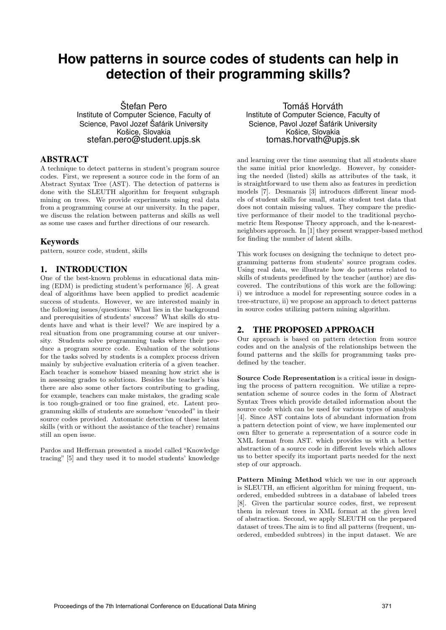# **How patterns in source codes of students can help in detection of their programming skills?**

Štefan Pero Institute of Computer Science, Faculty of Science, Pavol Jozef Šafárik University Košice, Slovakia stefan.pero@student.upjs.sk

## ABSTRACT

A technique to detect patterns in student's program source codes. First, we represent a source code in the form of an Abstract Syntax Tree (AST). The detection of patterns is done with the SLEUTH algorithm for frequent subgraph mining on trees. We provide experiments using real data from a programming course at our university. In the paper, we discuss the relation between patterns and skills as well as some use cases and further directions of our research.

## **Keywords**

pattern, source code, student, skills

# 1. INTRODUCTION

One of the best-known problems in educational data mining (EDM) is predicting student's performance [6]. A great deal of algorithms have been applied to predict academic success of students. However, we are interested mainly in the following issues/questions: What lies in the background and prerequisities of students' success? What skills do students have and what is their level? We are inspired by a real situation from one programming course at our university. Students solve programming tasks where their produce a program source code. Evaluation of the solutions for the tasks solved by students is a complex process driven mainly by subjective evaluation criteria of a given teacher. Each teacher is somehow biased meaning how strict she is in assessing grades to solutions. Besides the teacher's bias there are also some other factors contributing to grading, for example, teachers can make mistakes, the grading scale is too rough-grained or too fine grained, etc. Latent programming skills of students are somehow "encoded" in their source codes provided. Automatic detection of these latent skills (with or without the assistance of the teacher) remains still an open issue.

Pardos and Heffernan presented a model called "Knowledge tracing" [5] and they used it to model students' knowledge

Tomáš Horváth Institute of Computer Science, Faculty of Science, Pavol Jozef Šafárik University Košice, Slovakia tomas.horvath@upjs.sk

and learning over the time assuming that all students share the same initial prior knowledge. However, by considering the needed (listed) skills as attributes of the task, it is straightforward to use them also as features in prediction models [7]. Desmarais [3] introduces different linear models of student skills for small, static student test data that does not contain missing values. They compare the predictive performance of their model to the traditional psychometric Item Response Theory approach, and the k-nearestneighbors approach. In [1] they present wrapper-based method for finding the number of latent skills.

This work focuses on designing the technique to detect programming patterns from students' source program codes. Using real data, we illustrate how do patterns related to skills of students predefined by the teacher (author) are discovered. The contributions of this work are the following: i) we introduce a model for representing source codes in a tree-structure, ii) we propose an approach to detect patterns in source codes utilizing pattern mining algorithm.

# 2. THE PROPOSED APPROACH

Our approach is based on pattern detection from source codes and on the analysis of the relationships between the found patterns and the skills for programming tasks predefined by the teacher.

Source Code Representation is a critical issue in designing the process of pattern recognition. We utilize a representation scheme of source codes in the form of Abstract Syntax Trees which provide detailed information about the source code which can be used for various types of analysis [4]. Since AST contains lots of abundant information from a pattern detection point of view, we have implemented our own filter to generate a representation of a source code in XML format from AST. which provides us with a better abstraction of a source code in different levels which allows us to better specify its important parts needed for the next step of our approach.

Pattern Mining Method which we use in our approach is SLEUTH, an efficient algorithm for mining frequent, unordered, embedded subtrees in a database of labeled trees [8]. Given the particular source codes, first, we represent them in relevant trees in XML format at the given level of abstraction. Second, we apply SLEUTH on the prepared dataset of trees.The aim is to find all patterns (frequent, unordered, embedded subtrees) in the input dataset. We are